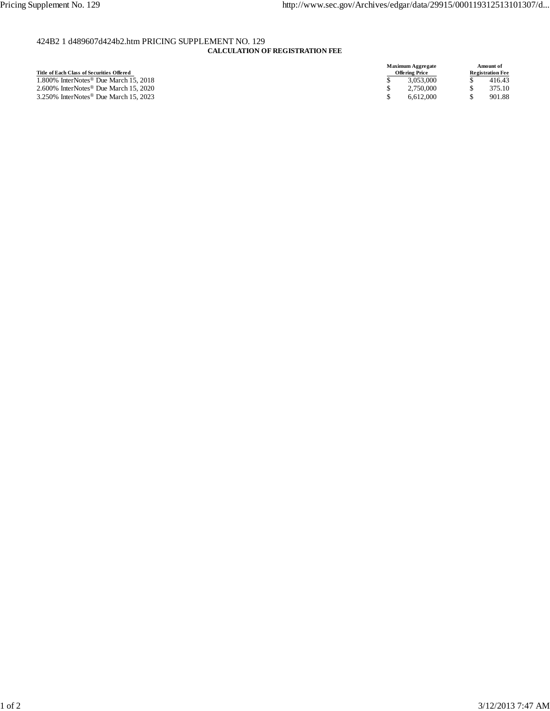# 424B2 1 d489607d424b2.htm PRICING SUPPLEMENT NO. 129

# **CALCULATION OF REGISTRATION FEE**

| Title of Each Class of Securities Offered         |  |
|---------------------------------------------------|--|
| 1.800% InterNotes <sup>®</sup> Due March 15, 2018 |  |
| 2.600% InterNotes <sup>®</sup> Due March 15, 2020 |  |
| 3.250% InterNotes <sup>®</sup> Due March 15, 2023 |  |

| <b>Maximum Aggregate</b><br>Amount of            |
|--------------------------------------------------|
| <b>Offering Price</b><br><b>Registration Fee</b> |
| 3.053.000<br>416.43                              |
| 375.10<br>2.750,000                              |
| 901.88<br>6.612.000                              |
|                                                  |